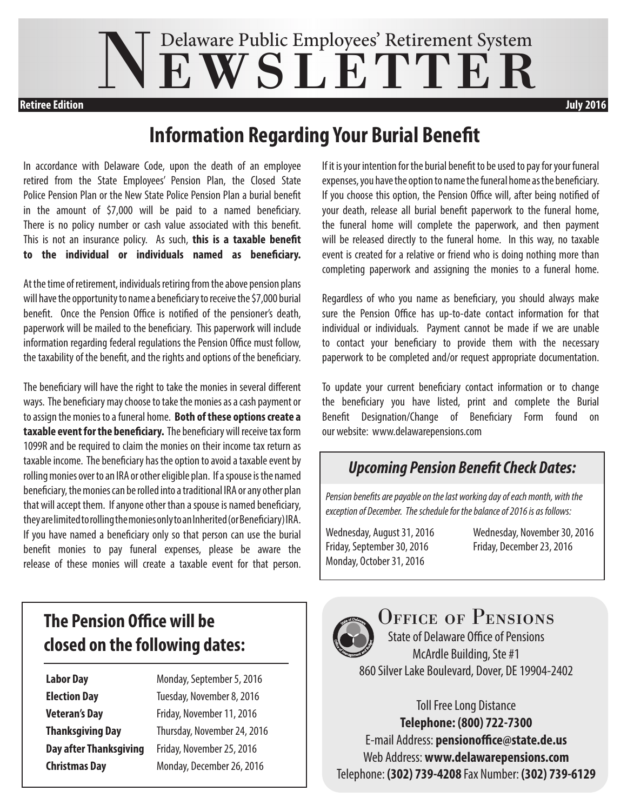# NEWSLETTER

**Retiree Edition July 2016**

## **Information Regarding Your Burial Benefit**

In accordance with Delaware Code, upon the death of an employee retired from the State Employees' Pension Plan, the Closed State Police Pension Plan or the New State Police Pension Plan a burial benefit in the amount of \$7,000 will be paid to a named beneficiary. There is no policy number or cash value associated with this benefit. This is not an insurance policy. As such, **this is a taxable benefit to the individual or individuals named as beneficiary.**

At the time of retirement, individuals retiring from the above pension plans will have the opportunity to name a beneficiary to receive the \$7,000 burial benefit. Once the Pension Office is notified of the pensioner's death, paperwork will be mailed to the beneficiary. This paperwork will include information regarding federal regulations the Pension Office must follow, the taxability of the benefit, and the rights and options of the beneficiary.

The beneficiary will have the right to take the monies in several different ways. The beneficiary may choose to take the monies as a cash payment or to assign the monies to a funeral home. **Both of these options create a taxable event for the beneficiary.** The beneficiary will receive tax form 1099R and be required to claim the monies on their income tax return as taxable income. The beneficiary has the option to avoid a taxable event by rolling monies over to an IRA or other eligible plan. If a spouse is the named beneficiary, the monies can be rolled into a traditional IRA or any other plan that will accept them. If anyone other than a spouse is named beneficiary, they are limited to rolling the monies only to an Inherited (or Beneficiary) IRA. If you have named a beneficiary only so that person can use the burial benefit monies to pay funeral expenses, please be aware the release of these monies will create a taxable event for that person.

## **The Pension Office will be closed on the following dates:**

**Labor Day Monday, September 5, 2016** 

**Election Day Tuesday, November 8, 2016 Veteran's Day Friday, November 11, 2016 Thanksgiving Day** Thursday, November 24, 2016 **Day after Thanksgiving** Friday, November 25, 2016 **Christmas Day** Monday, December 26, 2016

If it is your intention for the burial benefit to be used to pay for your funeral expenses, you have the option to name the funeral home as the beneficiary. If you choose this option, the Pension Office will, after being notified of your death, release all burial benefit paperwork to the funeral home, the funeral home will complete the paperwork, and then payment will be released directly to the funeral home. In this way, no taxable event is created for a relative or friend who is doing nothing more than completing paperwork and assigning the monies to a funeral home.

Regardless of who you name as beneficiary, you should always make sure the Pension Office has up-to-date contact information for that individual or individuals. Payment cannot be made if we are unable to contact your beneficiary to provide them with the necessary paperwork to be completed and/or request appropriate documentation.

To update your current beneficiary contact information or to change the beneficiary you have listed, print and complete the Burial Benefit Designation/Change of Beneficiary Form found on our website: www.delawarepensions.com

### *Upcoming Pension Benefit Check Dates:*

*Pension benefits are payable on the last working day of each month, with the exception of December. The schedule for the balance of 2016 is as follows:*

Friday, September 30, 2016 Friday, December 23, 2016 Monday, October 31, 2016

Wednesday, August 31, 2016 Wednesday, November 30, 2016



OFFICE OF PENSIONS

State of Delaware Office of Pensions McArdle Building, Ste #1 860 Silver Lake Boulevard, Dover, DE 19904-2402

Toll Free Long Distance **Telephone: (800) 722-7300** E-mail Address: **pensionoffice@state.de.us** Web Address: **www.delawarepensions.com** Telephone: **(302) 739-4208** Fax Number: **(302) 739-6129**